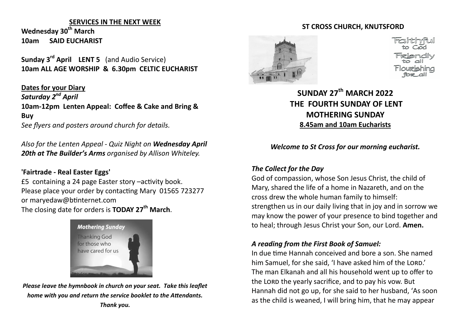#### **SERVICES IN THE NEXT WEEK**

**Wednesday 30th March 10am SAID EUCHARIST** 

**Sunday 3rd April LENT 5** (and Audio Service) **10am ALL AGE WORSHIP & 6.30pm CELTIC EUCHARIST**

**Dates for your Diary** *Saturday 2nd April* **10am-12pm Lenten Appeal: Coffee & Cake and Bring & Buy** *See flyers and posters around church for details.*

*Also for the Lenten Appeal - Quiz Night on Wednesday April 20th at The Builder's Arms organised by Allison Whiteley.*

#### **'Fairtrade - Real Easter Eggs'**

£5 containing a 24 page Easter story –activity book. Please place your order by contacting Mary 01565 723277 or maryedaw@btinternet.com The closing date for orders is **TODAY 27th March**.



*Please leave the hymnbook in church on your seat. Take this leaflet home with you and return the service booklet to the Attendants. Thank you.*



#### **ST CROSS CHURCH, KNUTSFORD**

# **SUNDAY 27th MARCH 2022 THE FOURTH SUNDAY OF LENT MOTHERING SUNDAY 8.45am and 10am Eucharists**

#### *Welcome to St Cross for our morning eucharist.*

## *The Collect for the Day*

God of compassion, whose Son Jesus Christ, the child of Mary, shared the life of a home in Nazareth, and on the cross drew the whole human family to himself: strengthen us in our daily living that in joy and in sorrow we may know the power of your presence to bind together and to heal; through Jesus Christ your Son, our Lord. **Amen.** 

## *A reading from the First Book of Samuel:*

In due time Hannah conceived and bore a son. She named him Samuel, for she said, 'I have asked him of the LORD.' The man Elkanah and all his household went up to offer to the LORD the yearly sacrifice, and to pay his vow. But Hannah did not go up, for she said to her husband, 'As soon as the child is weaned, I will bring him, that he may appear